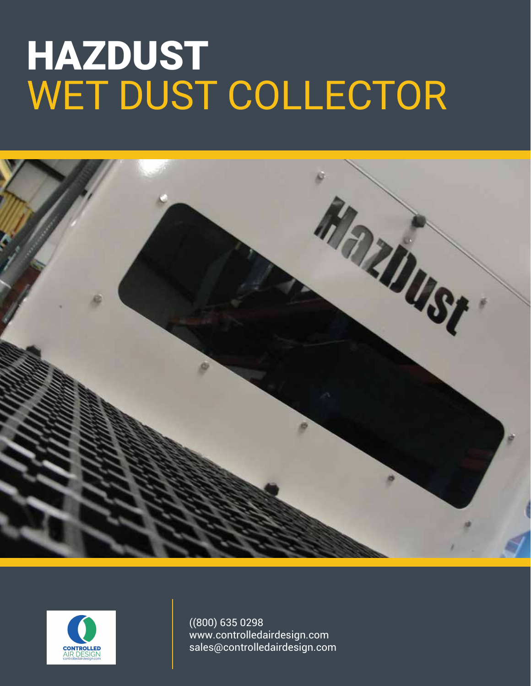# HAZDUST WET DUST COLLECTOR





((800) 635 0298 www.controlledairdesign.com sales@controlledairdesign.com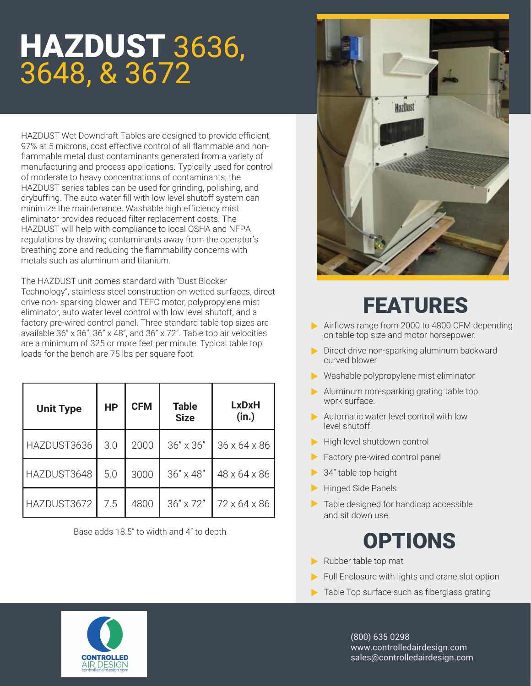### HAZDUST 3636, 3648, & 3672

HAZDUST Wet Downdraft Tables are designed to provide efficient, 97% at 5 microns, cost effective control of all flammable and nonflammable metal dust contaminants generated from a variety of manufacturing and process applications. Typically used for control of moderate to heavy concentrations of contaminants, the HAZDUST series tables can be used for grinding, polishing, and drybuffing. The auto water fill with low level shutoff system can minimize the maintenance. Washable high efficiency mist eliminator provides reduced filter replacement costs. The HAZDUST will help with compliance to local OSHA and NFPA regulations by drawing contaminants away from the operator's breathing zone and reducing the flammability concerns with metals such as aluminum and titanium.

The HAZDUST unit comes standard with "Dust Blocker Technology", stainless steel construction on wetted surfaces, direct drive non- sparking blower and TEFC motor, polypropylene mist eliminator, auto water level control with low level shutoff, and a factory pre-wired control panel. Three standard table top sizes are available 36" x 36", 36" x 48", and 36" x 72". Table top air velocities are a minimum of 325 or more feet per minute. Typical table top loads for the bench are 75 lbs per square foot.

| <b>Unit Type</b> | <b>HP</b> | <b>CFM</b> | <b>Table</b><br><b>Size</b> | LxDxH<br>(in.) |
|------------------|-----------|------------|-----------------------------|----------------|
| HAZDUST3636      | 3.0       | 2000       | $36'' \times 36''$          | 36 x 64 x 86   |
| HAZDUST3648      | 5.0       | 3000       | 36" x 48"                   | 48 x 64 x 86   |
| HAZDUST3672      | 7.5       | 4800       | 36" x 72"                   | 72 x 64 x 86   |

Base adds 18.5" to width and 4" to depth



#### FEATURES

- Airflows range from 2000 to 4800 CFM depending on table top size and motor horsepower.
- Direct drive non-sparking aluminum backward curved blower
- Washable polypropylene mist eliminator
- Aluminum non-sparking grating table top work surface.
- Automatic water level control with low level shutoff.
- High level shutdown control
- Factory pre-wired control panel
- **→ 34" table top height**
- Hinged Side Panels
- Table designed for handicap accessible and sit down use.

#### OPTIONS

- Rubber table top mat
- $\blacktriangleright$  Full Enclosure with lights and crane slot option
- $\blacktriangleright$  Table Top surface such as fiberglass grating

(800) 635 0298 www.controlledairdesign.com sales@controlledairdesign.com